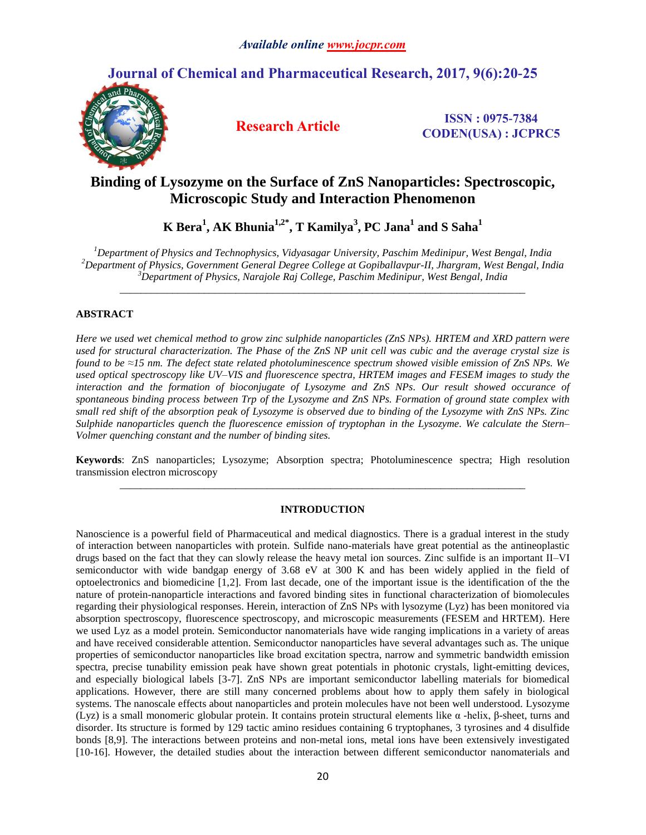# **Journal of Chemical and Pharmaceutical Research, 2017, 9(6):20-25**



**Research Article ISSN : 0975-7384 CODEN(USA) : JCPRC5**

# **Binding of Lysozyme on the Surface of ZnS Nanoparticles: Spectroscopic, Microscopic Study and Interaction Phenomenon**

**K Bera<sup>1</sup> , AK Bhunia1,2\*, T Kamilya<sup>3</sup> , PC Jana<sup>1</sup> and S Saha<sup>1</sup>**

*<sup>1</sup>Department of Physics and Technophysics, Vidyasagar University, Paschim Medinipur, West Bengal, India <sup>2</sup>Department of Physics, Government General Degree College at Gopiballavpur-II, Jhargram, West Bengal, India <sup>3</sup>Department of Physics, Narajole Raj College, Paschim Medinipur, West Bengal, India*

*\_\_\_\_\_\_\_\_\_\_\_\_\_\_\_\_\_\_\_\_\_\_\_\_\_\_\_\_\_\_\_\_\_\_\_\_\_\_\_\_\_\_\_\_\_\_\_\_\_\_\_\_\_\_\_\_\_\_\_\_\_\_\_\_\_\_\_\_\_\_\_\_\_\_\_\_\_*

# **ABSTRACT**

*Here we used wet chemical method to grow zinc sulphide nanoparticles (ZnS NPs). HRTEM and XRD pattern were used for structural characterization. The Phase of the ZnS NP unit cell was cubic and the average crystal size is found to be ≈15 nm. The defect state related photoluminescence spectrum showed visible emission of ZnS NPs. We used optical spectroscopy like UV–VIS and fluorescence spectra, HRTEM images and FESEM images to study the interaction and the formation of bioconjugate of Lysozyme and ZnS NPs. Our result showed occurance of spontaneous binding process between Trp of the Lysozyme and ZnS NPs. Formation of ground state complex with small red shift of the absorption peak of Lysozyme is observed due to binding of the Lysozyme with ZnS NPs. Zinc Sulphide nanoparticles quench the fluorescence emission of tryptophan in the Lysozyme. We calculate the Stern– Volmer quenching constant and the number of binding sites.*

**Keywords**: ZnS nanoparticles; Lysozyme; Absorption spectra; Photoluminescence spectra; High resolution transmission electron microscopy *\_\_\_\_\_\_\_\_\_\_\_\_\_\_\_\_\_\_\_\_\_\_\_\_\_\_\_\_\_\_\_\_\_\_\_\_\_\_\_\_\_\_\_\_\_\_\_\_\_\_\_\_\_\_\_\_\_\_\_\_\_\_\_\_\_\_\_\_\_\_\_\_\_\_\_\_\_*

# **INTRODUCTION**

Nanoscience is a powerful field of Pharmaceutical and medical diagnostics. There is a gradual interest in the study of interaction between nanoparticles with protein. Sulfide nano-materials have great potential as the antineoplastic drugs based on the fact that they can slowly release the heavy metal ion sources. Zinc sulfide is an important II–VI semiconductor with wide bandgap energy of 3.68 eV at 300 K and has been widely applied in the field of optoelectronics and biomedicine [1,2]. From last decade, one of the important issue is the identification of the the nature of protein-nanoparticle interactions and favored binding sites in functional characterization of biomolecules regarding their physiological responses. Herein, interaction of ZnS NPs with lysozyme (Lyz) has been monitored via absorption spectroscopy, fluorescence spectroscopy, and microscopic measurements (FESEM and HRTEM). Here we used Lyz as a model protein. Semiconductor nanomaterials have wide ranging implications in a variety of areas and have received considerable attention. Semiconductor nanoparticles have several advantages such as. The unique properties of semiconductor nanoparticles like broad excitation spectra, narrow and symmetric bandwidth emission spectra, precise tunability emission peak have shown great potentials in photonic crystals, light-emitting devices, and especially biological labels [3-7]. ZnS NPs are important semiconductor labelling materials for biomedical applications. However, there are still many concerned problems about how to apply them safely in biological systems. The nanoscale effects about nanoparticles and protein molecules have not been well understood. Lysozyme (Lyz) is a small monomeric globular protein. It contains protein structural elements like α -helix, β-sheet, turns and disorder. Its structure is formed by 129 tactic amino residues containing 6 tryptophanes, 3 tyrosines and 4 disulfide bonds [8,9]. The interactions between proteins and non-metal ions, metal ions have been extensively investigated [10-16]. However, the detailed studies about the interaction between different semiconductor nanomaterials and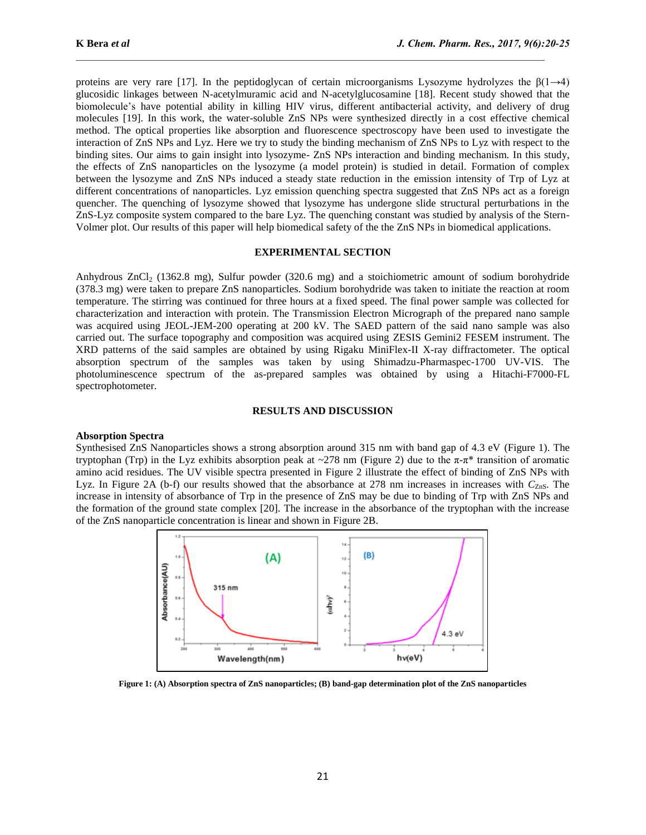proteins are very rare [17]. In the peptidoglycan of certain microorganisms Lysozyme hydrolyzes the  $\beta(1\rightarrow4)$ glucosidic linkages between N-acetylmuramic acid and N-acetylglucosamine [18]. Recent study showed that the biomolecule's have potential ability in killing HIV virus, different antibacterial activity, and delivery of drug molecules [19]. In this work, the water-soluble ZnS NPs were synthesized directly in a cost effective chemical method. The optical properties like absorption and fluorescence spectroscopy have been used to investigate the interaction of ZnS NPs and Lyz. Here we try to study the binding mechanism of ZnS NPs to Lyz with respect to the binding sites. Our aims to gain insight into lysozyme- ZnS NPs interaction and binding mechanism. In this study, the effects of ZnS nanoparticles on the lysozyme (a model protein) is studied in detail. Formation of complex between the lysozyme and ZnS NPs induced a steady state reduction in the emission intensity of Trp of Lyz at different concentrations of nanoparticles. Lyz emission quenching spectra suggested that ZnS NPs act as a foreign quencher. The quenching of lysozyme showed that lysozyme has undergone slide structural perturbations in the ZnS-Lyz composite system compared to the bare Lyz. The quenching constant was studied by analysis of the Stern-Volmer plot. Our results of this paper will help biomedical safety of the the ZnS NPs in biomedical applications.

### **EXPERIMENTAL SECTION**

Anhydrous ZnCl<sup>2</sup> (1362.8 mg), Sulfur powder (320.6 mg) and a stoichiometric amount of sodium borohydride (378.3 mg) were taken to prepare ZnS nanoparticles. Sodium borohydride was taken to initiate the reaction at room temperature. The stirring was continued for three hours at a fixed speed. The final power sample was collected for characterization and interaction with protein. The Transmission Electron Micrograph of the prepared nano sample was acquired using JEOL-JEM-200 operating at 200 kV. The SAED pattern of the said nano sample was also carried out. The surface topography and composition was acquired using ZESIS Gemini2 FESEM instrument. The XRD patterns of the said samples are obtained by using Rigaku MiniFlex-II X-ray diffractometer. The optical absorption spectrum of the samples was taken by using Shimadzu-Pharmaspec-1700 UV-VIS. The photoluminescence spectrum of the as-prepared samples was obtained by using a Hitachi-F7000-FL spectrophotometer.

## **RESULTS AND DISCUSSION**

## **Absorption Spectra**

Synthesised ZnS Nanoparticles shows a strong absorption around 315 nm with band gap of 4.3 eV (Figure 1). The tryptophan (Trp) in the Lyz exhibits absorption peak at ~278 nm (Figure 2) due to the π-π\* transition of aromatic amino acid residues. The UV visible spectra presented in Figure 2 illustrate the effect of binding of ZnS NPs with Lyz. In Figure 2A (b-f) our results showed that the absorbance at 278 nm increases in increases with  $C_{Z_{\text{D}}S}$ . The increase in intensity of absorbance of Trp in the presence of ZnS may be due to binding of Trp with ZnS NPs and the formation of the ground state complex [20]. The increase in the absorbance of the tryptophan with the increase of the ZnS nanoparticle concentration is linear and shown in Figure 2B.



**Figure 1: (A) Absorption spectra of ZnS nanoparticles; (B) band-gap determination plot of the ZnS nanoparticles**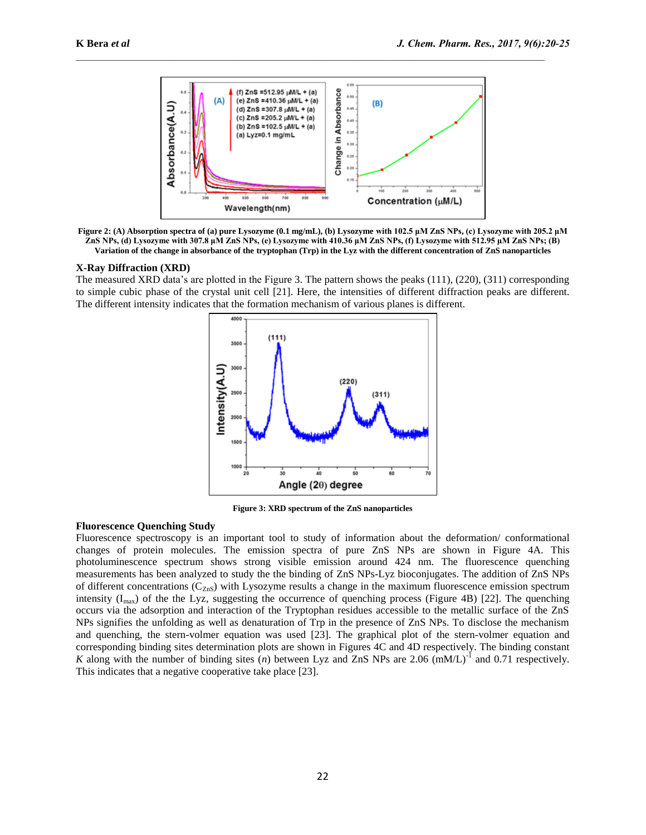

**Figure 2: (A) Absorption spectra of (a) pure Lysozyme (0.1 mg/mL), (b) Lysozyme with 102.5 μM ZnS NPs, (c) Lysozyme with 205.2 μM ZnS NPs, (d) Lysozyme with 307.8 μM ZnS NPs, (e) Lysozyme with 410.36 μM ZnS NPs, (f) Lysozyme with 512.95 μM ZnS NPs; (B) Variation of the change in absorbance of the tryptophan (Trp) in the Lyz with the different concentration of ZnS nanoparticles**

#### **X-Ray Diffraction (XRD)**

The measured XRD data's are plotted in the Figure 3. The pattern shows the peaks (111), (220), (311) corresponding to simple cubic phase of the crystal unit cell [21]. Here, the intensities of different diffraction peaks are different. The different intensity indicates that the formation mechanism of various planes is different.



**Figure 3: XRD spectrum of the ZnS nanoparticles**

## **Fluorescence Quenching Study**

Fluorescence spectroscopy is an important tool to study of information about the deformation/ conformational changes of protein molecules. The emission spectra of pure ZnS NPs are shown in Figure 4A. This photoluminescence spectrum shows strong visible emission around 424 nm. The fluorescence quenching measurements has been analyzed to study the the binding of ZnS NPs-Lyz bioconjugates. The addition of ZnS NPs of different concentrations  $(C_{ZnS})$  with Lysozyme results a change in the maximum fluorescence emission spectrum intensity  $(I_{\text{max}})$  of the the Lyz, suggesting the occurrence of quenching process (Figure 4B) [22]. The quenching occurs via the adsorption and interaction of the Tryptophan residues accessible to the metallic surface of the ZnS NPs signifies the unfolding as well as denaturation of Trp in the presence of ZnS NPs. To disclose the mechanism and quenching, the stern-volmer equation was used [23]. The graphical plot of the stern-volmer equation and corresponding binding sites determination plots are shown in Figures 4C and 4D respectively. The binding constant *K* along with the number of binding sites  $(n)$  between Lyz and ZnS NPs are 2.06  $(mM/L)^{-1}$  and 0.71 respectively. This indicates that a negative cooperative take place [23].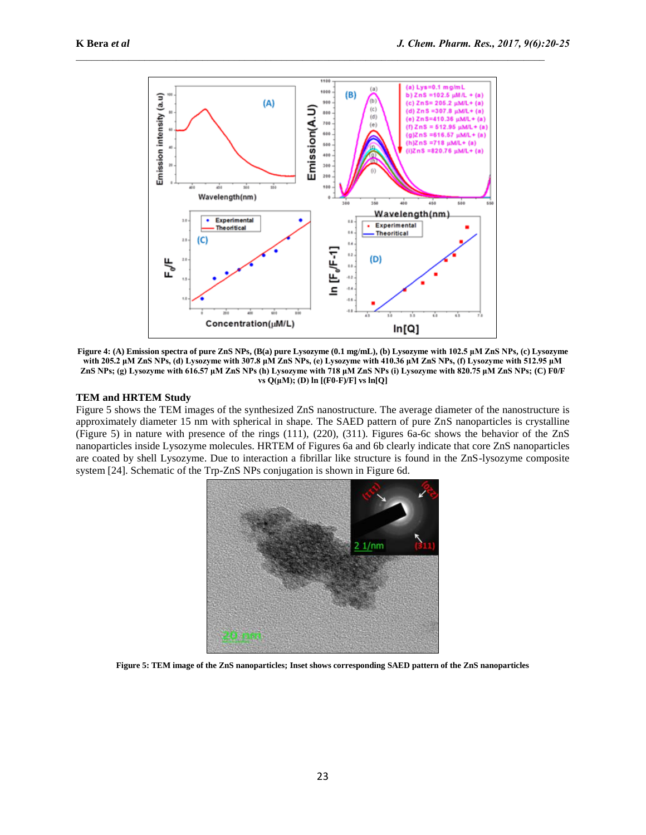

**Figure 4: (A) Emission spectra of pure ZnS NPs, (B(a) pure Lysozyme (0.1 mg/mL), (b) Lysozyme with 102.5 μM ZnS NPs, (c) Lysozyme with 205.2 μM ZnS NPs, (d) Lysozyme with 307.8 μM ZnS NPs, (e) Lysozyme with 410.36 μM ZnS NPs, (f) Lysozyme with 512.95 μM ZnS NPs; (g) Lysozyme with 616.57 μM ZnS NPs (h) Lysozyme with 718 μM ZnS NPs (i) Lysozyme with 820.75 μM ZnS NPs; (C) F0/F vs Q(μM); (D) ln [(F0-F)/F] vs ln[Q]**

## **TEM and HRTEM Study**

Figure 5 shows the TEM images of the synthesized ZnS nanostructure. The average diameter of the nanostructure is approximately diameter 15 nm with spherical in shape. The SAED pattern of pure ZnS nanoparticles is crystalline (Figure 5) in nature with presence of the rings (111), (220), (311). Figures 6a-6c shows the behavior of the ZnS nanoparticles inside Lysozyme molecules. HRTEM of Figures 6a and 6b clearly indicate that core ZnS nanoparticles are coated by shell Lysozyme. Due to interaction a fibrillar like structure is found in the ZnS-lysozyme composite system [24]. Schematic of the Trp-ZnS NPs conjugation is shown in Figure 6d.



**Figure 5: TEM image of the ZnS nanoparticles; Inset shows corresponding SAED pattern of the ZnS nanoparticles**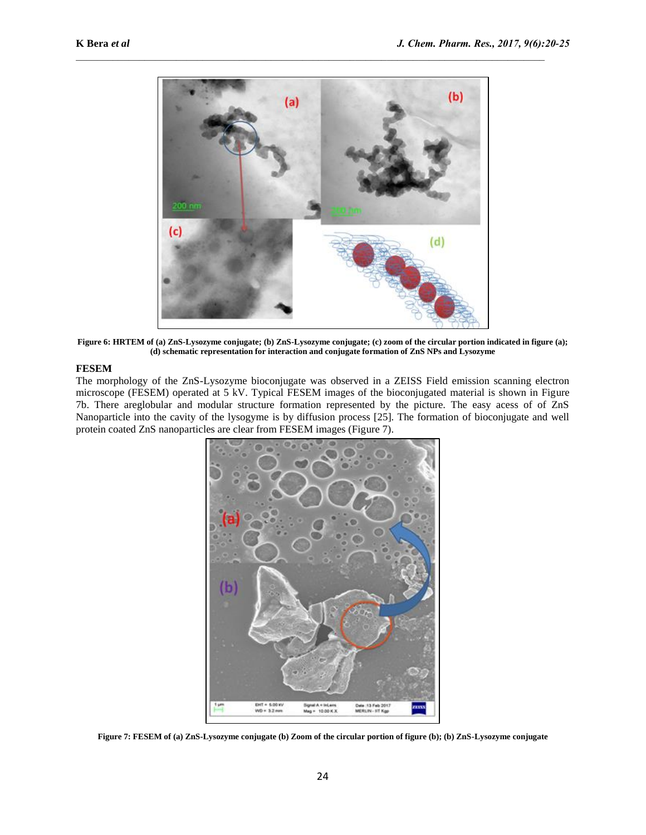

**Figure 6: HRTEM of (a) ZnS-Lysozyme conjugate; (b) ZnS-Lysozyme conjugate; (c) zoom of the circular portion indicated in figure (a); (d) schematic representation for interaction and conjugate formation of ZnS NPs and Lysozyme**

# **FESEM**

The morphology of the ZnS-Lysozyme bioconjugate was observed in a ZEISS Field emission scanning electron microscope (FESEM) operated at 5 kV. Typical FESEM images of the bioconjugated material is shown in Figure 7b. There areglobular and modular structure formation represented by the picture. The easy acess of of ZnS Nanoparticle into the cavity of the lysogyme is by diffusion process [25]. The formation of bioconjugate and well protein coated ZnS nanoparticles are clear from FESEM images (Figure 7).



**Figure 7: FESEM of (a) ZnS-Lysozyme conjugate (b) Zoom of the circular portion of figure (b); (b) ZnS-Lysozyme conjugate**